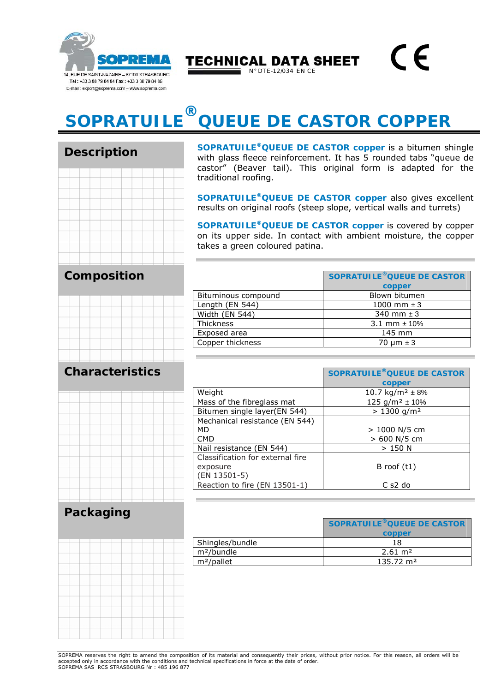

Description

**TECHNICAL DATA SHEET** 

N° DTE-12/034\_EN CE

## **SOPRATUILE ® QUEUE DE CASTOR COPPER**

| Description |  |  |  |  |  |  |  |  |  |
|-------------|--|--|--|--|--|--|--|--|--|
|             |  |  |  |  |  |  |  |  |  |
|             |  |  |  |  |  |  |  |  |  |
|             |  |  |  |  |  |  |  |  |  |
|             |  |  |  |  |  |  |  |  |  |
|             |  |  |  |  |  |  |  |  |  |
|             |  |  |  |  |  |  |  |  |  |
|             |  |  |  |  |  |  |  |  |  |
|             |  |  |  |  |  |  |  |  |  |
|             |  |  |  |  |  |  |  |  |  |
|             |  |  |  |  |  |  |  |  |  |

**Composition**

**SOPRATUILE®QUEUE DE CASTOR copper** is a bitumen shingle with glass fleece reinforcement. It has 5 rounded tabs "queue de castor" (Beaver tail). This original form is adapted for the traditional roofing.

 $\epsilon$ 

**SOPRATUILE®QUEUE DE CASTOR copper** also gives excellent results on original roofs (steep slope, vertical walls and turrets)

**SOPRATUILE®QUEUE DE CASTOR copper** is covered by copper on its upper side. In contact with ambient moisture, the copper takes a green coloured patina.

|                     | SOPRATUILE® QUEUE DE CASTOR<br>copper |
|---------------------|---------------------------------------|
| Bituminous compound | Blown bitumen                         |
| Length (EN 544)     | 1000 mm $\pm$ 3                       |
| Width (EN 544)      | 340 mm $\pm$ 3                        |
| <b>Thickness</b>    | 3.1 mm $\pm$ 10%                      |
| Exposed area        | 145 mm                                |
| Copper thickness    | 70 um ± 3                             |

## **Characteristics**

|                          |                   | and and see the state of the state of the state of                                                                 |                                               |                               | the control is a set of a second complete that the control of the control of |                                           | the contract of the contract of                                | <b>Contract Contract</b> | <b>TERRITORY</b><br><b>CONTRACTOR</b><br><b>The Common</b> |
|--------------------------|-------------------|--------------------------------------------------------------------------------------------------------------------|-----------------------------------------------|-------------------------------|------------------------------------------------------------------------------|-------------------------------------------|----------------------------------------------------------------|--------------------------|------------------------------------------------------------|
|                          |                   |                                                                                                                    |                                               |                               |                                                                              |                                           |                                                                |                          |                                                            |
|                          |                   |                                                                                                                    |                                               |                               |                                                                              |                                           |                                                                |                          |                                                            |
|                          |                   |                                                                                                                    |                                               |                               |                                                                              |                                           |                                                                |                          |                                                            |
| <b><i>CONTRACTOR</i></b> | <b>CONTRACTOR</b> | the contract of the contract of the contract of the contract of the contract of<br>the contract of the contract of |                                               | <b><i><u>Property</u></i></b> |                                                                              |                                           | <b>Contract Contract Contract Contract</b><br><b>TERRITORY</b> | <b>Contractor</b>        |                                                            |
|                          |                   |                                                                                                                    | <b>Contractor</b><br><b>Contract Contract</b> | _____                         |                                                                              | the company of the company of the company | <b>Contract Contract</b>                                       |                          |                                                            |
|                          |                   |                                                                                                                    |                                               |                               |                                                                              |                                           |                                                                |                          |                                                            |
|                          |                   |                                                                                                                    |                                               |                               |                                                                              |                                           |                                                                |                          |                                                            |
|                          |                   |                                                                                                                    |                                               |                               |                                                                              |                                           |                                                                |                          |                                                            |

|                                  | <b>SOPRATUILE® QUEUE DE CASTOR</b> |
|----------------------------------|------------------------------------|
|                                  | copper                             |
| Weight                           | 10.7 kg/m <sup>2</sup> $\pm$ 8%    |
| Mass of the fibreglass mat       | 125 g/m <sup>2</sup> $\pm$ 10%     |
| Bitumen single layer(EN 544)     | $> 1300$ g/m <sup>2</sup>          |
| Mechanical resistance (EN 544)   |                                    |
| MD                               | $> 1000$ N/5 cm                    |
| <b>CMD</b>                       | > 600 N/5 cm                       |
| Nail resistance (EN 544)         | $>150$ N                           |
| Classification for external fire |                                    |
| exposure                         | B roof $(t1)$                      |
| (EN 13501-5)                     |                                    |
| Reaction to fire (EN 13501-1)    | C s2 do                            |

## **Packaging**

|  |                                                    |                   |                                                 | .                              |                               |  |
|--|----------------------------------------------------|-------------------|-------------------------------------------------|--------------------------------|-------------------------------|--|
|  |                                                    |                   |                                                 |                                |                               |  |
|  |                                                    |                   |                                                 |                                |                               |  |
|  |                                                    |                   |                                                 |                                |                               |  |
|  | <b>The Company's Company's Company's Company's</b> |                   | the contract of the contract of the contract of | <b>The Contract of Seconds</b> | <b>The Company of Company</b> |  |
|  |                                                    |                   |                                                 |                                |                               |  |
|  |                                                    |                   |                                                 |                                |                               |  |
|  |                                                    |                   |                                                 |                                |                               |  |
|  |                                                    |                   |                                                 |                                |                               |  |
|  |                                                    |                   |                                                 |                                |                               |  |
|  |                                                    | <b>Contractor</b> |                                                 |                                |                               |  |
|  |                                                    |                   |                                                 |                                |                               |  |
|  |                                                    |                   |                                                 |                                |                               |  |
|  |                                                    |                   |                                                 |                                |                               |  |

|                        | SOPRATUILE® QUEUE DE CASTOR<br>copper |
|------------------------|---------------------------------------|
| Shingles/bundle        | 18                                    |
| m <sup>2</sup> /bundle | $2.61 \text{ m}^2$                    |
| $m^2$ /pallet          | $135.72 \text{ m}^2$                  |

SOPREMA reserves the right to amend the composition of its material and consequently their prices, without prior notice. For this reason, all orders will be accepted only in accordance with the conditions and technical specifications in force at the date of order. SOPREMA SAS RCS STRASBOURG Nr : 485 196 877